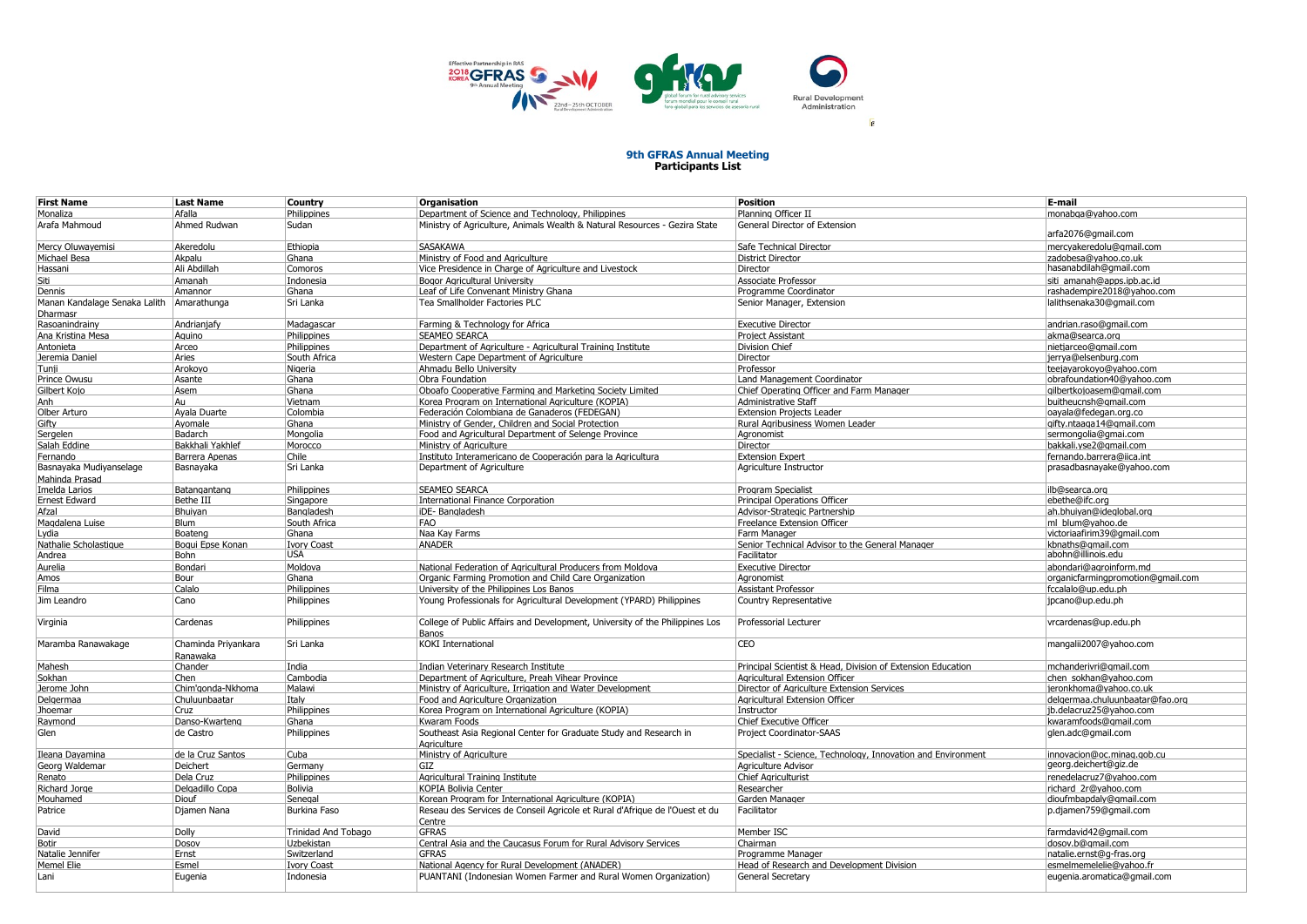

## **9th GFRAS Annual Meeting Participants List**

| <b>First Name</b>                         | <b>Last Name</b>                | Country             | Organisation                                                                          | <b>Position</b>                                              | E-mail                            |
|-------------------------------------------|---------------------------------|---------------------|---------------------------------------------------------------------------------------|--------------------------------------------------------------|-----------------------------------|
|                                           |                                 |                     |                                                                                       |                                                              |                                   |
| Monaliza                                  | Afalla                          | Philippines         | Department of Science and Technology, Philippines                                     | Planning Officer II                                          | monabga@yahoo.com                 |
| Arafa Mahmoud                             | Ahmed Rudwan                    | Sudan               | Ministry of Agriculture, Animals Wealth & Natural Resources - Gezira State            | General Director of Extension                                | arfa2076@gmail.com                |
| Mercy Oluwayemisi                         | Akeredolu                       | Ethiopia            | <b>SASAKAWA</b>                                                                       | Safe Technical Director                                      | mercyakeredolu@qmail.com          |
| Michael Besa                              | Akpalu                          | Ghana               | Ministry of Food and Agriculture                                                      | <b>District Director</b>                                     | zadobesa@vahoo.co.uk              |
| Hassani                                   | Ali Abdillah                    | Comoros             | Vice Presidence in Charge of Agriculture and Livestock                                | Director                                                     | hasanabdilah@gmail.com            |
| Siti                                      | Amanah                          | Indonesia           | Bogor Agricultural University                                                         | Associate Professor                                          | siti amanah@apps.ipb.ac.id        |
|                                           |                                 |                     |                                                                                       |                                                              |                                   |
| Dennis                                    | Amannor                         | Ghana               | Leaf of Life Convenant Ministry Ghana                                                 | Programme Coordinator                                        | rashadempire2018@yahoo.com        |
| Manan Kandalage Senaka Lalith<br>Dharmasr | Amarathunga                     | Sri Lanka           | Tea Smallholder Factories PLC                                                         | Senior Manager, Extension                                    | lalithsenaka30@gmail.com          |
| Rasoanindrainy                            | Andrianjafy                     | Madagascar          | Farming & Technology for Africa                                                       | <b>Executive Director</b>                                    | andrian.raso@qmail.com            |
| Ana Kristina Mesa                         | Aquino                          | Philippines         | <b>SEAMEO SEARCA</b>                                                                  | <b>Project Assistant</b>                                     | akma@searca.org                   |
| Antonieta                                 | Arceo                           | Philippines         | Department of Agriculture - Agricultural Training Institute                           | <b>Division Chief</b>                                        | nietjarceo@qmail.com              |
| Jeremia Daniel                            | Aries                           | South Africa        | Western Cape Department of Agriculture                                                | Director                                                     |                                   |
|                                           |                                 |                     |                                                                                       |                                                              | jerrya@elsenburg.com              |
| Tunji                                     | Arokoyo                         | Nigeria             | Ahmadu Bello University                                                               | Professor                                                    | teejayarokoyo@yahoo.com           |
| Prince Owusu                              | Asante                          | Ghana               | Obra Foundation                                                                       | Land Management Coordinator                                  | obrafoundation40@yahoo.com        |
| Gilbert Koio                              | Asem                            | Ghana               | Oboafo Cooperative Farming and Marketing Society Limited                              | Chief Operating Officer and Farm Manager                     | ailbertkoioasem@amail.com         |
| Anh                                       | Au                              | Vietnam             | Korea Program on International Agriculture (KOPIA)                                    | Administrative Staff                                         | buitheucnsh@gmail.com             |
| Olber Arturo                              | Ayala Duarte                    | Colombia            | Federación Colombiana de Ganaderos (FEDEGAN)                                          | <b>Extension Projects Leader</b>                             | oayala@fedegan.org.co             |
| Gifty                                     | Ayomale                         | Ghana               | Ministry of Gender, Children and Social Protection                                    | Rural Agribusiness Women Leader                              | gifty.ntaaga14@gmail.com          |
| Sergelen                                  | Badarch                         | Mongolia            | Food and Agricultural Department of Selenge Province                                  | Agronomist                                                   | sermongolia@gmai.com              |
| Salah Eddine                              | Bakkhali Yakhlef                | Morocco             | Ministry of Agriculture                                                               | Director                                                     | bakkali.yse2@gmail.com            |
|                                           |                                 |                     |                                                                                       |                                                              |                                   |
| Fernando                                  | Barrera Apenas                  | Chile               | Instituto Interamericano de Cooperación para la Agricultura                           | <b>Extension Expert</b>                                      | fernando.barrera@iica.int         |
| Basnayaka Mudiyanselage<br>Mahinda Prasad | Basnayaka                       | Sri Lanka           | Department of Agriculture                                                             | Agriculture Instructor                                       | prasadbasnayake@yahoo.com         |
| Imelda Larios                             | Batangantang                    | Philippines         | <b>SEAMEO SEARCA</b>                                                                  | Program Specialist                                           | ilb@searca.org                    |
| <b>Ernest Edward</b>                      | Bethe III                       | Singapore           | <b>International Finance Corporation</b>                                              | <b>Principal Operations Officer</b>                          | ebethe@ifc.org                    |
| Afzal                                     | Bhuiyan                         | Bangladesh          | iDE-Bangladesh                                                                        | Advisor-Strategic Partnership                                | ah.bhuiyan@ideglobal.org          |
| Magdalena Luise                           | <b>Blum</b>                     | South Africa        | FAO                                                                                   | Freelance Extension Officer                                  | ml blum@vahoo.de                  |
|                                           |                                 | Ghana               |                                                                                       |                                                              |                                   |
| Lydia                                     | Boateng                         |                     | Naa Kay Farms                                                                         | Farm Manager                                                 | victoriaafirim39@gmail.com        |
| Nathalie Scholastique                     | Boqui Epse Konan                | <b>Ivory Coast</b>  | ANADER                                                                                | Senior Technical Advisor to the General Manager              | kbnaths@gmail.com                 |
| Andrea                                    | Bohn                            | <b>USA</b>          |                                                                                       | Facilitator                                                  | abohn@illinois.edu                |
| Aurelia                                   | Bondari                         | Moldova             | National Federation of Agricultural Producers from Moldova                            | <b>Executive Director</b>                                    | abondari@agroinform.md            |
| Amos                                      | Bour                            | Ghana               | Organic Farming Promotion and Child Care Organization                                 | Agronomist                                                   | organicfarmingpromotion@gmail.com |
| Filma                                     | Calalo                          | Philippines         | University of the Philippines Los Banos                                               | <b>Assistant Professor</b>                                   | fccalalo@up.edu.ph                |
| Jim Leandro                               | Cano                            | Philippines         | Young Professionals for Agricultural Development (YPARD) Philippines                  | Country Representative                                       | jpcano@up.edu.ph                  |
|                                           |                                 |                     |                                                                                       |                                                              |                                   |
| Virginia                                  | Cardenas                        | Philippines         | College of Public Affairs and Development, University of the Philippines Los<br>Banos | Professorial Lecturer                                        | vrcardenas@up.edu.ph              |
| Maramba Ranawakage                        | Chaminda Priyankara<br>Ranawaka | Sri Lanka           | <b>KOKI</b> International                                                             | <b>CEO</b>                                                   | mangalii2007@yahoo.com            |
| Mahesh                                    | Chander                         | India               | Indian Veterinary Research Institute                                                  | Principal Scientist & Head, Division of Extension Education  | mchanderivri@gmail.com            |
| Sokhan                                    | Chen                            | Cambodia            | Department of Agriculture, Preah Vihear Province                                      | Agricultural Extension Officer                               | chen sokhan@yahoo.com             |
| Jerome John                               | Chim'gonda-Nkhoma               | Malawi              | Ministry of Agriculture, Irrigation and Water Development                             | Director of Agriculture Extension Services                   | ieronkhoma@vahoo.co.uk            |
|                                           |                                 |                     |                                                                                       |                                                              |                                   |
| Delgermaa                                 | Chuluunbaatar                   | Italy               | Food and Agriculture Organization                                                     | Agricultural Extension Officer                               | delgermaa.chuluunbaatar@fao.org   |
| Jhoemar                                   | Cruz                            | Philippines         | Korea Program on International Agriculture (KOPIA)                                    | Instructor                                                   | ib.delacruz25@vahoo.com           |
| Raymond                                   | Danso-Kwarteng                  | Ghana               | Kwaram Foods                                                                          | Chief Executive Officer                                      | kwaramfoods@gmail.com             |
| Glen                                      | de Castro                       | Philippines         | Southeast Asia Regional Center for Graduate Study and Research in<br>Aariculture      | Project Coordinator-SAAS                                     | glen.adc@gmail.com                |
| Ileana Dayamina                           | de la Cruz Santos               | Cuba                | Ministry of Agriculture                                                               | Specialist - Science, Technology, Innovation and Environment | innovacion@oc.minaq.qob.cu        |
| Georg Waldemar                            | Deichert                        | Germany             | GIZ                                                                                   | Agriculture Advisor                                          | georg.deichert@giz.de             |
|                                           |                                 |                     |                                                                                       |                                                              |                                   |
| Renato                                    | Dela Cruz                       | Philippines         | Agricultural Training Institute                                                       | <b>Chief Agriculturist</b>                                   | renedelacruz7@yahoo.com           |
| <b>Richard Jorge</b>                      | Delgadillo Copa                 | Bolivia             | <b>KOPIA Bolivia Center</b>                                                           | Researcher                                                   | richard 2r@yahoo.com              |
| Mouhamed                                  | Diouf                           | Senegal             | Korean Program for International Agriculture (KOPIA)                                  | Garden Manager                                               | dioufmbapdaly@qmail.com           |
| Patrice                                   | Djamen Nana                     | Burkina Faso        | Reseau des Services de Conseil Agricole et Rural d'Afrique de l'Ouest et du<br>Centre | Facilitator                                                  | p.djamen759@gmail.com             |
| David                                     | Dolly                           | Trinidad And Tobago | <b>GFRAS</b>                                                                          | Member ISC                                                   | farmdavid42@gmail.com             |
|                                           |                                 |                     | Central Asia and the Caucasus Forum for Rural Advisory Services                       | Chairman                                                     |                                   |
| <b>Botir</b>                              | Dosov                           | Uzbekistan          |                                                                                       |                                                              | dosov.b@qmail.com                 |
| Natalie Jennifer                          | Ernst                           | Switzerland         | <b>GFRAS</b>                                                                          | Programme Manager                                            | natalie.ernst@q-fras.org          |
| Memel Elie                                | Esmel                           | <b>Ivory Coast</b>  | National Agency for Rural Development (ANADER)                                        | Head of Research and Development Division                    | esmelmemelelie@yahoo.fr           |
| Lani                                      | Eugenia                         | Indonesia           | PUANTANI (Indonesian Women Farmer and Rural Women Organization)                       | General Secretary                                            | eugenia.aromatica@gmail.com       |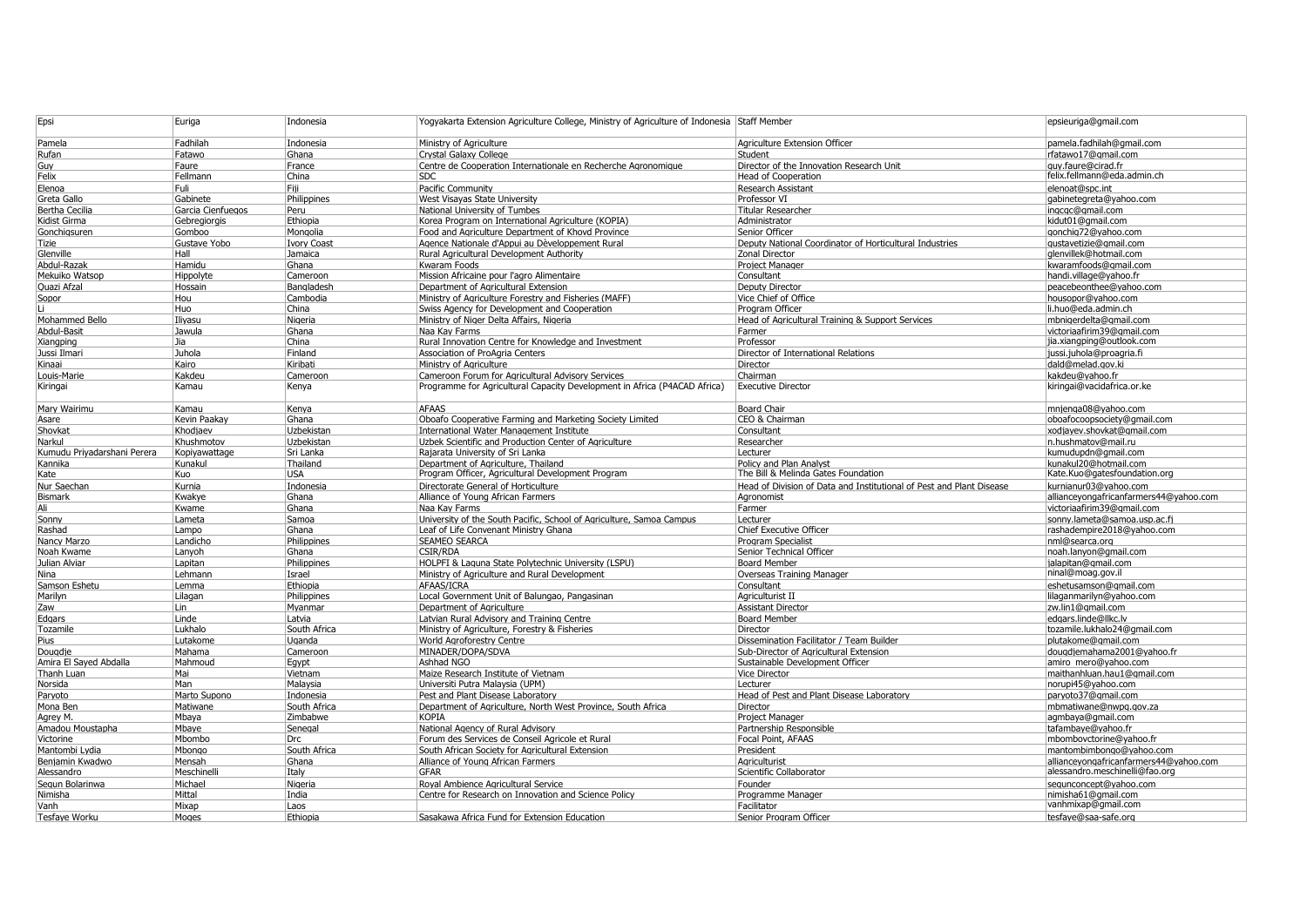| Epsi                          | Euriga            | Indonesia          | Yogyakarta Extension Agriculture College, Ministry of Agriculture of Indonesia Staff Member |                                                                      | epsieuriga@gmail.com                   |
|-------------------------------|-------------------|--------------------|---------------------------------------------------------------------------------------------|----------------------------------------------------------------------|----------------------------------------|
| Pamela                        | Fadhilah          | Indonesia          | Ministry of Agriculture                                                                     | Agriculture Extension Officer                                        | pamela.fadhilah@gmail.com              |
| Rufan                         | Fatawo            | Ghana              | <b>Crystal Galaxy College</b>                                                               | Student                                                              | rfatawo17@qmail.com                    |
| Guy                           | Faure             | France             | Centre de Cooperation Internationale en Recherche Agronomique                               | Director of the Innovation Research Unit                             | quy.faure@cirad.fr                     |
| Felix                         | Fellmann          | China              | SDC.                                                                                        | <b>Head of Cooperation</b>                                           | felix.fellmann@eda.admin.ch            |
| Elenoa                        | Fuli              | Fiji               | Pacific Community                                                                           | <b>Research Assistant</b>                                            | elenoat@spc.int                        |
| Greta Gallo                   | Gabinete          | Philippines        | West Visayas State University                                                               | Professor VI                                                         | qabinetegreta@yahoo.com                |
| <b>Bertha Cecilia</b>         | Garcia Cienfuegos | Peru               | National University of Tumbes                                                               | Titular Researcher                                                   | ingcgc@gmail.com                       |
| Kidist Girma                  | Gebregiorgis      | Ethiopia           | Korea Program on International Agriculture (KOPIA)                                          | Administrator                                                        | kidut01@qmail.com                      |
| Gonchigsuren                  | Gomboo            | Mongolia           | Food and Agriculture Department of Khovd Province                                           | Senior Officer                                                       | gonchig72@yahoo.com                    |
| Tizie                         | Gustave Yobo      | <b>Ivory Coast</b> | Agence Nationale d'Appui au Dèveloppement Rural                                             | Deputy National Coordinator of Horticultural Industries              | qustavetizie@qmail.com                 |
| Glenville                     | Hall              | Jamaica            | Rural Agricultural Development Authority                                                    | Zonal Director                                                       | glenvillek@hotmail.com                 |
| Abdul-Razak                   | Hamidu            | Ghana              | Kwaram Foods                                                                                | <b>Project Manager</b>                                               | kwaramfoods@qmail.con                  |
| Mekuiko Watsop                | Hippolyte         | Cameroon           | Mission Africaine pour l'agro Alimentaire                                                   | Consultant                                                           | handi.village@vahoo.fr                 |
| <b>Ouazi Afzal</b>            | Hossair           | Bangladesh         | Department of Agricultural Extension                                                        | Deputy Director                                                      | peacebeonthee@vahoo.com                |
| Sopor                         | Hou               | Cambodia           | Ministry of Agriculture Forestry and Fisheries (MAFF)                                       | Vice Chief of Office                                                 | housopor@yahoo.com                     |
|                               | Huo               | China              | Swiss Agency for Development and Cooperation                                                | Program Officer                                                      | li.huo@eda.admin.ch                    |
| Mohammed Bello                | Iliyasu           | Nigeria            | Ministry of Niger Delta Affairs, Nigeria                                                    | Head of Agricultural Training & Support Services                     | mbnigerdelta@gmail.com                 |
| Abdul-Basit                   | Jawula            | Ghana              | Naa Kav Farms                                                                               | Farmer                                                               | victoriaafirim39@qmail.com             |
| Xiangping                     | Jia               | China              | Rural Innovation Centre for Knowledge and Investment                                        | Professor                                                            | jia.xiangping@outlook.com              |
| Jussi Ilmari                  | Juhola            | Finland            | Association of ProAgria Centers                                                             | Director of International Relations                                  | jussi.juhola@proagria.fi               |
| Kinaai                        | Kairo             | Kiribati           | Ministry of Agriculture                                                                     | Director                                                             | dald@melad.gov.ki                      |
| Louis-Marie                   | Kakdeu            | Cameroor           | Cameroon Forum for Agricultural Advisory Services                                           | Chairman                                                             | kakdeu@vahoo.fr                        |
| Kiringai                      | Kamau             | Kenya              | Programme for Agricultural Capacity Development in Africa (P4ACAD Africa)                   | <b>Executive Director</b>                                            | kiringai@vacidafrica.or.ke             |
| Marv Wairimu                  | Kamau             | Kenva              | <b>AFAAS</b>                                                                                | <b>Board Chair</b>                                                   | mnienga08@vahoo.com                    |
| Asare                         | Kevin Paakay      | Ghana              | Oboafo Cooperative Farming and Marketing Society Limited                                    | CEO & Chairman                                                       | oboafocoopsociety@qmail.com            |
| Shovkat                       | Khodjaev          | Uzbekistan         | <b>International Water Management Institute</b>                                             | Consultant                                                           | xodjayev.shovkat@gmail.com             |
| Narkul                        | Khushmotov        | Uzbekistar         | Uzbek Scientific and Production Center of Agriculture                                       | Researcher                                                           | n.hushmatov@mail.ru                    |
| Kumudu Priyadarshani Perera   | Kopiyawattage     | Sri Lanka          | Rajarata University of Sri Lanka                                                            | Lecturer                                                             | kumudupdn@qmail.com                    |
| Kannika                       | Kunakul           | Thailand           | Department of Agriculture, Thailand                                                         | Policy and Plan Analyst                                              | kunakul20@hotmail.com                  |
| Kate                          | Kuo               | <b>USA</b>         | Program Officer, Agricultural Development Program                                           | The Bill & Melinda Gates Foundation                                  | Kate.Kuo@gatesfoundation.org           |
| Nur Saechar                   | Kurnia            | Indonesia          | Directorate General of Horticulture                                                         | Head of Division of Data and Institutional of Pest and Plant Disease | kurnianur03@yahoo.com                  |
| Bismark                       | Kwakye            | Ghana              | Alliance of Young African Farmers                                                           | Agronomist                                                           | allianceyongafricanfarmers44@yahoo.com |
| Αli                           | Kwame             | Ghana              | Naa Kav Farms                                                                               | Farmer                                                               | victoriaafirim39@gmail.com             |
| Sonny                         | Lameta            | Samoa              | University of the South Pacific, School of Agriculture, Samoa Campus                        | Lecturer                                                             | sonny.lameta@samoa.usp.ac.fj           |
| Rashad                        | Lampo             | Ghana              | Leaf of Life Convenant Ministry Ghana                                                       | Chief Executive Officer                                              | rashadempire2018@yahoo.com             |
| Nancy Marzo                   | Landicho          | Philippines        | SEAMEO SEARCA                                                                               | Program Specialist                                                   | nml@searca.org                         |
| Noah Kwam                     | Lanyoh            | Ghana              | CSIR/RDA                                                                                    | Senior Technical Officer                                             | noah.lanyon@gmail.com                  |
| Julian Alviar                 | Lapitan           | Philippines        | HOLPFI & Laguna State Polytechnic University (LSPU)                                         | <b>Board Member</b>                                                  | jalapitan@gmail.com                    |
| Nina                          | Lehmann           | Israel             | Ministry of Agriculture and Rural Development                                               | Overseas Training Manager                                            | ninal@moag.gov.il                      |
| Samson Eshetu                 | Lemma             | Ethiopia           | AFAAS/ICRA                                                                                  | Consultant                                                           | eshetusamson@qmail.com                 |
| Marilyn                       | Lilagan           | Philippines        | Local Government Unit of Balungao, Pangasinan                                               | Agriculturist II                                                     | lilaganmarilyn@yahoo.com               |
| Zaw                           | Lin               | Myanmar            | Department of Agriculture                                                                   | <b>Assistant Director</b>                                            | zw.lin1@gmail.com                      |
| Edgars                        | Linde             | Latvia             | Latvian Rural Advisory and Training Centre                                                  | <b>Board Member</b>                                                  | edgars.linde@llkc.lv                   |
| Tozamile                      | Lukhalo           | South Africa       | Ministry of Agriculture, Forestry & Fisheries                                               | Director                                                             | tozamile.lukhalo24@gmail.com           |
| Pius                          | Lutakome          | Uganda             | World Agroforestry Centre                                                                   | Dissemination Facilitator / Team Builder                             | plutakome@gmail.com                    |
| Dougdje                       | Mahama            | Cameroon           | MINADER/DOPA/SDVA                                                                           | Sub-Director of Agricultural Extension                               | dougdjemahama2001@yahoo.fr             |
| Amira El Sayed Abdalla        | Mahmoud           | Eqypt              | Ashhad NGO                                                                                  | Sustainable Development Officer                                      | amiro mero@yahoo.com                   |
| Thanh Luan                    | Mai               | Vietnam            | Maize Research Institute of Vietnam                                                         | <b>Vice Director</b>                                                 | maithanhluan.hau1@gmail.com            |
| Norsida                       | Man               | Malaysia           | Universiti Putra Malaysia (UPM)                                                             | Lecturer                                                             | norupi45@yahoo.com                     |
| Paryoto                       | Marto Supono      | Indonesia          | Pest and Plant Disease Laboratory                                                           | Head of Pest and Plant Disease Laboratory                            | paryoto37@qmail.com                    |
| Mona Ben                      | Matiwane          | South Africa       | Department of Agriculture, North West Province, South Africa                                | Director                                                             | mbmatiwane@nwpg.gov.za                 |
|                               | Mbaya             | Zimbabwe           | <b>KOPIA</b>                                                                                | Project Manager                                                      | agmbaya@gmail.com                      |
| Agrey M.                      | Mbaye             |                    |                                                                                             |                                                                      |                                        |
| Amadou Moustapha              |                   | Senegal            | National Agency of Rural Advisory                                                           | Partnership Responsible                                              | tafambaye@yahoo.fr                     |
|                               | Mbombo            | Drc                | Forum des Services de Conseil Agricole et Rural                                             | Focal Point, AFAAS                                                   | mbombovctorine@yahoo.fr                |
| Victorine<br>Mantombi Lydia   | Mbongo            | South Africa       | South African Society for Agricultural Extension                                            | President                                                            | mantombimbongo@yahoo.com               |
|                               | Mensah            | Ghana              | Alliance of Young African Farmers                                                           | Agriculturist                                                        | allianceyongafricanfarmers44@yahoo.com |
| Benjamin Kwadwo<br>Alessandro | Meschinell        | Italy              | <b>GFAR</b>                                                                                 | Scientific Collaborator                                              | alessandro.meschinelli@fao.org         |
| Segun Bolarinwa               | Michael           | Nigeria            | Royal Ambience Agricultural Service                                                         | Founder                                                              | sequnconcept@yahoo.com                 |
| Nimisha                       | Mittal            | India              | Centre for Research on Innovation and Science Policy                                        | Programme Manager                                                    | nimisha61@gmail.com                    |
| Vanh                          | Mixap             | Laos               |                                                                                             | Facilitator                                                          | vanhmixap@gmail.com                    |
| Tesfaye Worku                 | Moges             | Ethiopia           | Sasakawa Africa Fund for Extension Education                                                | Senior Program Officer                                               | tesfaye@saa-safe.org                   |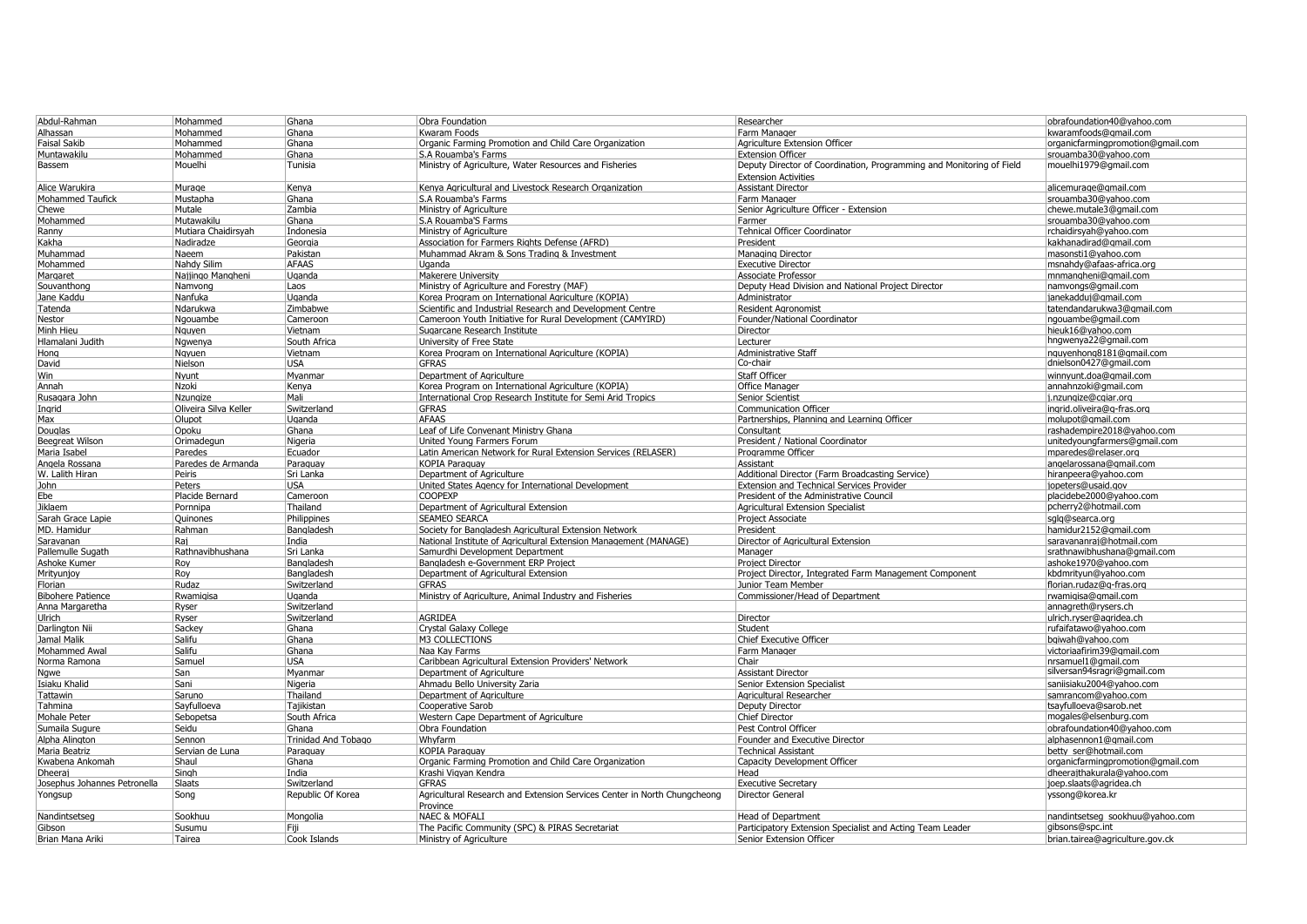| Abdul-Rahman                 | Mohammed              | Ghana                      | Obra Foundation                                                          | Researcher                                                           | obrafoundation40@yahoo.com                         |
|------------------------------|-----------------------|----------------------------|--------------------------------------------------------------------------|----------------------------------------------------------------------|----------------------------------------------------|
| Alhassan                     | Mohammed              | Ghana                      | Kwaram Foods                                                             | Farm Manager                                                         | kwaramfoods@gmail.com                              |
| <b>Faisal Sakib</b>          | Mohammed              | Ghana                      | Organic Farming Promotion and Child Care Organization                    | Agriculture Extension Officer                                        | organicfarmingpromotion@gmail.com                  |
| Muntawakilı                  | Mohammed              | Ghana                      | S.A Rouamba's Farms                                                      | <b>Extension Officer</b>                                             | srouamba30@vahoo.com                               |
| Bassem                       | Mouelhi               | Tunisia                    | Ministry of Agriculture, Water Resources and Fisheries                   | Deputy Director of Coordination, Programming and Monitoring of Field | mouelhi1979@gmail.com                              |
|                              |                       |                            |                                                                          | <b>Extension Activities</b>                                          |                                                    |
| Alice Warukira               | Murage                | Kenva                      | Kenva Agricultural and Livestock Research Organization                   | <b>Assistant Director</b>                                            | alicemurage@gmail.com                              |
| Mohammed Taufick             | Mustapha              | Ghana                      | S.A Rouamba's Farms                                                      | Farm Manager                                                         | srouamba30@yahoo.com                               |
| Chewe                        | Mutale                | Zambia                     | Ministry of Agriculture                                                  | Senior Agriculture Officer - Extension                               | chewe.mutale3@qmail.com                            |
| Mohammed                     | Mutawakilu            | Ghana                      | S.A Rouamba'S Farms                                                      | Farmer                                                               | srouamba30@yahoo.com                               |
| Ranny                        | Mutiara Chaidirsyah   | Indonesia                  | Ministry of Agriculture                                                  | <b>Tehnical Officer Coordinator</b>                                  | rchaidirsyah@yahoo.com                             |
| Kakha                        | Nadiradze             | Georgia                    | Association for Farmers Rights Defense (AFRD)                            | President                                                            | kakhanadirad@gmail.com                             |
|                              | Naeem                 | Pakistan                   | Muhammad Akram & Sons Trading & Investment                               |                                                                      | masonsti1@yahoo.com                                |
| Muhammad                     | Nahdy Silim           | <b>AFAAS</b>               | Uganda                                                                   | Managing Director                                                    |                                                    |
| Mohammed                     |                       |                            |                                                                          | <b>Executive Director</b>                                            | msnahdy@afaas-africa.org                           |
| Margaret                     | Najjingo Mangheni     | Uganda                     | Makerere University                                                      | <b>Associate Professor</b>                                           | mnmangheni@gmail.com                               |
| Souvanthono                  | Namvong               | Laos                       | Ministry of Agriculture and Forestry (MAF)                               | Deputy Head Division and National Proiect Director                   | namvongs@gmail.com                                 |
| Jane Kaddu                   | Nanfuka               | Uganda                     | Korea Program on International Agriculture (KOPIA)                       | Administrator                                                        | janekadduj@gmail.com                               |
| Tatenda                      | Ndarukwa              | Zimbabwe                   | Scientific and Industrial Research and Development Centre                | <b>Resident Agronomist</b>                                           | tatendandarukwa3@gmail.com                         |
| Nestor                       | Ngouambe              | Cameroon                   | Cameroon Youth Initiative for Rural Development (CAMYIRD)                | Founder/National Coordinator                                         | ngouambe@gmail.com                                 |
| Minh Hieu                    | Nauyen                | Vietnam                    | Sugarcane Research Institute                                             | Director                                                             | hieuk16@yahoo.com                                  |
| Hlamalani Judith             | Ngwenya               | South Africa               | University of Free State                                                 | Lecturer                                                             | hngwenya22@gmail.com                               |
| Hong                         | Nayuen                | Vietnam                    | Korea Program on International Agriculture (KOPIA)                       | <b>Administrative Staff</b>                                          | nquyenhong8181@qmail.com<br>dnielson0427@gmail.com |
| David                        | Nielson               | <b>USA</b>                 | <b>GFRAS</b>                                                             | Co-chair                                                             |                                                    |
| Win                          | Nvunt                 | Mvanmar                    | Department of Agriculture                                                | Staff Officer                                                        | winnvunt.doa@gmail.com                             |
| Annah                        | Nzoki                 | Kenya                      | Korea Program on International Agriculture (KOPIA                        | <b>Office Manager</b>                                                | annahnzoki@gmail.con                               |
| Rusagara John                | Nzungize              | Mali                       | International Crop Research Institute for Semi Arid Tropics              | Senior Scientist                                                     | j.nzungize@cgiar.org                               |
| Ingrid                       | Oliveira Silva Keller | Switzerland                | <b>GFRAS</b>                                                             | <b>Communication Officer</b>                                         | ingrid.oliveira@g-fras.org                         |
| Max                          | Olupot                | Uganda                     | <b>AFAAS</b>                                                             | Partnerships, Planning and Learning Officer                          | molupot@qmail.com                                  |
| Douglas                      | Opoku                 | Ghana                      |                                                                          | Consultant                                                           |                                                    |
|                              |                       |                            | Leaf of Life Convenant Ministry Ghana                                    |                                                                      | rashadempire2018@yahoo.com                         |
| <b>Beegreat Wilson</b>       | Orimadegun            | Nigeria                    | United Young Farmers Forum                                               | President / National Coordinator                                     | unitedyoungfarmers@gmail.com                       |
| Maria Isabel                 | Paredes               | Ecuador                    | Latin American Network for Rural Extension Services (RELASER)            | Programme Officer                                                    | mparedes@relaser.org                               |
| Angela Rossana               | Paredes de Armanda    | Paraquay                   | <b>KOPIA Paraguay</b>                                                    | Assistant                                                            | angelarossana@gmail.com                            |
| W. Lalith Hiran              | Peiris                | Sri Lanka                  | Department of Agriculture                                                | Additional Director (Farm Broadcasting Service)                      | hiranpeera@yahoo.con                               |
| John                         | Peters                | <b>USA</b>                 | United States Agency for International Development                       | Extension and Technical Services Provider                            | jopeters@usaid.gov                                 |
| Ebe                          | Placide Bernard       | Cameroon                   | <b>COOPEXP</b>                                                           | President of the Administrative Council                              | placidebe2000@yahoo.com                            |
| Jiklaem                      | Pornnipa              | Thailand                   | Department of Agricultural Extension                                     | Agricultural Extension Specialist                                    | pcherry2@hotmail.com                               |
| Sarah Grace Lapie            | Quinones              | Philippines                | <b>SEAMEO SEARCA</b>                                                     | <b>Project Associate</b>                                             | sqlq@searca.org                                    |
| MD. Hamidur                  | Rahman                | Bangladesh                 | Society for Bangladesh Agricultural Extension Network                    | President                                                            | hamidur2152@qmail.com                              |
| Saravanan                    | Rai                   | India                      | National Institute of Agricultural Extension Management (MANAGE)         | Director of Agricultural Extension                                   | saravananraj@hotmail.com                           |
| Pallemulle Sugath            | Rathnavibhushana      | Sri Lanka                  | Samurdhi Development Department                                          | Manager                                                              | srathnawibhushana@qmail.com                        |
| Ashoke Kumer                 | Roy                   | Bangladesh                 | Bangladesh e-Government ERP Project                                      | <b>Project Director</b>                                              | ashoke1970@yahoo.com                               |
| Mritvuniov                   | Rov                   | Bangladesh                 | Department of Agricultural Extension                                     | Proiect Director. Integrated Farm Management Component               | kbdmritvun@vahoo.com                               |
| Florian                      | Rudaz                 | Switzerland                | <b>GFRAS</b>                                                             | Junior Team Member                                                   | florian.rudaz@q-fras.org                           |
| <b>Bibohere Patience</b>     | Rwamigisa             | Uganda                     | Ministry of Agriculture, Animal Industry and Fisheries                   | Commissioner/Head of Department                                      | rwamigisa@gmail.com                                |
| Anna Margaretha              | Ryser                 | Switzerland                |                                                                          |                                                                      | annagreth@rysers.ch                                |
| <b>Ulrich</b>                | Ryser                 | Switzerland                | <b>AGRIDEA</b>                                                           | Director                                                             | ulrich.ryser@agridea.ch                            |
| Darlington Nii               | Sackey                | Ghana                      | <b>Crystal Galaxy College</b>                                            | Student                                                              | rufaifatawo@yahoo.com                              |
| Jamal Malik                  | Salifu                | Ghana                      | M3 COLLECTIONS                                                           | Chief Executive Officer                                              | bgiwah@yahoo.com                                   |
| Mohammed Awal                | Salifu                | Ghana                      | Naa Kay Farms                                                            | Farm Manager                                                         | victoriaafirim39@gmail.com                         |
| Norma Ramona                 | Samuel                | <b>USA</b>                 | Caribbean Agricultural Extension Providers' Network                      | Chair                                                                | nrsamuel1@gmail.com                                |
|                              |                       |                            |                                                                          |                                                                      | silversan94sragri@gmail.com                        |
| Nqwe                         | San                   | Myanmar                    | Department of Agriculture                                                | <b>Assistant Director</b>                                            |                                                    |
| Isiaku Khalic                | Sani                  | Nigeria                    | Ahmadu Bello University Zaria                                            | Senior Extension Specialist                                          | saniisiaku2004@yahoo.con                           |
| <b>Tattawin</b>              | Saruno                | Thailand                   | Department of Agriculture                                                | Agricultural Researcher                                              | samrancom@yahoo.com                                |
| Tahmina                      | Sayfulloeva           | Tajikistan                 | Cooperative Sarob                                                        | Deputy Director                                                      | tsayfulloeva@sarob.net                             |
| Mohale Peter                 | Sebopetsa             | South Africa               | Western Cape Department of Agriculture                                   | Chief Director                                                       | mogales@elsenburg.com                              |
| Sumaila Sugure               | Seidu                 | Ghana                      | Obra Foundation                                                          | Pest Control Officer                                                 | obrafoundation40@yahoo.com                         |
| Alpha Alington               | Sennon                | <b>Trinidad And Tobago</b> | Whyfarm                                                                  | Founder and Executive Director                                       | alphasennon1@gmail.com                             |
| Maria Beatriz                | Servian de Luna       | Paraquay                   | <b>KOPIA Paraguay</b>                                                    | <b>Technical Assistant</b>                                           | betty ser@hotmail.com                              |
| Kwabena Ankomah              | Shaul                 | Ghana                      | Organic Farming Promotion and Child Care Organization                    | <b>Capacity Development Officer</b>                                  | organicfarmingpromotion@gmail.com                  |
| Dheeraj                      | Singh                 | India                      | Krashi Vigyan Kendra                                                     | Head                                                                 | dheerajthakurala@yahoo.com                         |
| Josephus Johannes Petronella | Slaats                | Switzerland                | <b>GFRAS</b>                                                             | <b>Executive Secretary</b>                                           | joep.slaats@agridea.ch                             |
| Yongsup                      | Song                  | Republic Of Korea          | Agricultural Research and Extension Services Center in North Chungcheong | Director General                                                     | yssong@korea.kr                                    |
|                              |                       |                            | Province                                                                 |                                                                      |                                                    |
| Nandintsetseg                | Sookhuu               | Mongolia                   | <b>NAEC &amp; MOFALI</b>                                                 | <b>Head of Department</b>                                            | nandintsetseg sookhuu@yahoo.com                    |
| Gibson                       | Susumu                | Fiii                       | The Pacific Community (SPC) & PIRAS Secretariat                          | Participatory Extension Specialist and Acting Team Leader            | gibsons@spc.int                                    |
| Brian Mana Ariki             | Tairea                | Cook Islands               | Ministry of Agriculture                                                  | Senior Extension Officer                                             | brian.tairea@agriculture.gov.ck                    |
|                              |                       |                            |                                                                          |                                                                      |                                                    |